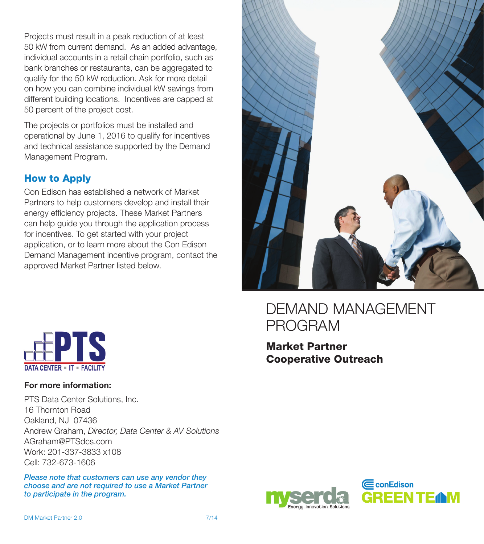Projects must result in a peak reduction of at least 50 kW from current demand. As an added advantage, individual accounts in a retail chain portfolio, such as bank branches or restaurants, can be aggregated to qualify for the 50 kW reduction. Ask for more detail on how you can combine individual kW savings from different building locations. Incentives are capped at 50 percent of the project cost.

The projects or portfolios must be installed and operational by June 1, 2016 to qualify for incentives and technical assistance supported by the Demand Management Program.

#### How to Apply

Con Edison has established a network of Market Partners to help customers develop and install their energy efficiency projects. These Market Partners can help guide you through the application process for incentives. To get started with your project application, or to learn more about the Con Edison Demand Management incentive program, contact the approved Market Partner listed below.



## Demand Management Program

Market Partner Cooperative Outreach



#### **For more information:**

PTS Data Center Solutions, Inc. 16 Thornton Road Oakland, NJ 07436 Andrew Graham, *Director, Data Center & AV Solutions* AGraham@PTSdcs.com Work: 201-337-3833 x108 Cell: 732-673-1606

*Please note that customers can use any vendor they choose and are not required to use a Market Partner to participate in the program.*